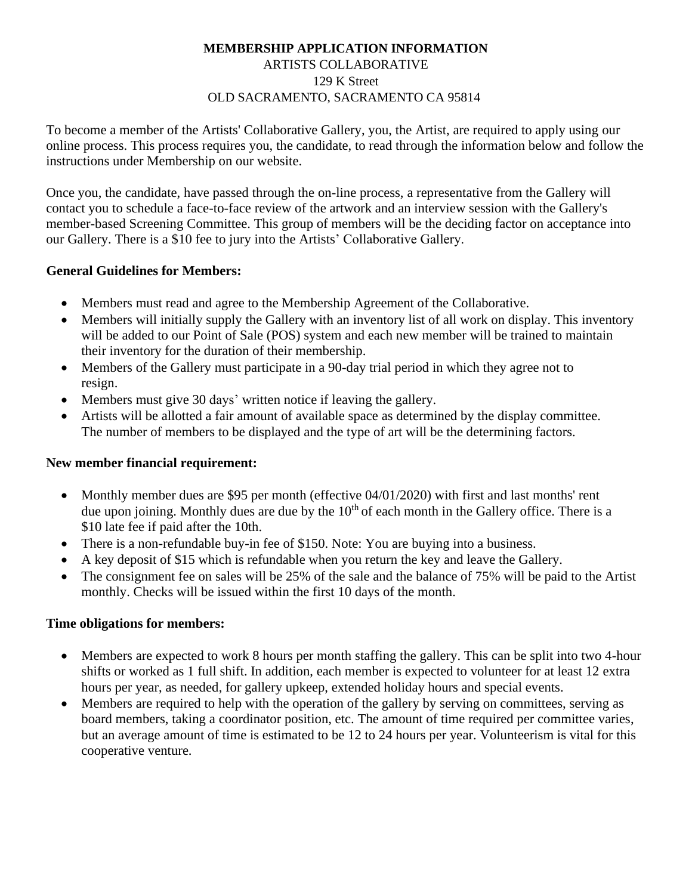### **MEMBERSHIP APPLICATION INFORMATION** ARTISTS COLLABORATIVE 129 K Street OLD SACRAMENTO, SACRAMENTO CA 95814

To become a member of the Artists' Collaborative Gallery, you, the Artist, are required to apply using our online process. This process requires you, the candidate, to read through the information below and follow the instructions under Membership on our website.

Once you, the candidate, have passed through the on-line process, a representative from the Gallery will contact you to schedule a face-to-face review of the artwork and an interview session with the Gallery's member-based Screening Committee. This group of members will be the deciding factor on acceptance into our Gallery. There is a \$10 fee to jury into the Artists' Collaborative Gallery.

### **General Guidelines for Members:**

- Members must read and agree to the Membership Agreement of the Collaborative.
- Members will initially supply the Gallery with an inventory list of all work on display. This inventory will be added to our Point of Sale (POS) system and each new member will be trained to maintain their inventory for the duration of their membership.
- Members of the Gallery must participate in a 90-day trial period in which they agree not to resign.
- Members must give 30 days' written notice if leaving the gallery.
- Artists will be allotted a fair amount of available space as determined by the display committee. The number of members to be displayed and the type of art will be the determining factors.

# **New member financial requirement:**

- Monthly member dues are \$95 per month (effective 04/01/2020) with first and last months' rent due upon joining. Monthly dues are due by the  $10<sup>th</sup>$  of each month in the Gallery office. There is a \$10 late fee if paid after the 10th.
- There is a non-refundable buy-in fee of \$150. Note: You are buying into a business.
- A key deposit of \$15 which is refundable when you return the key and leave the Gallery.
- The consignment fee on sales will be 25% of the sale and the balance of 75% will be paid to the Artist monthly. Checks will be issued within the first 10 days of the month.

#### **Time obligations for members:**

- Members are expected to work 8 hours per month staffing the gallery. This can be split into two 4-hour shifts or worked as 1 full shift. In addition, each member is expected to volunteer for at least 12 extra hours per year, as needed, for gallery upkeep, extended holiday hours and special events.
- Members are required to help with the operation of the gallery by serving on committees, serving as board members, taking a coordinator position, etc. The amount of time required per committee varies, but an average amount of time is estimated to be 12 to 24 hours per year. Volunteerism is vital for this cooperative venture.